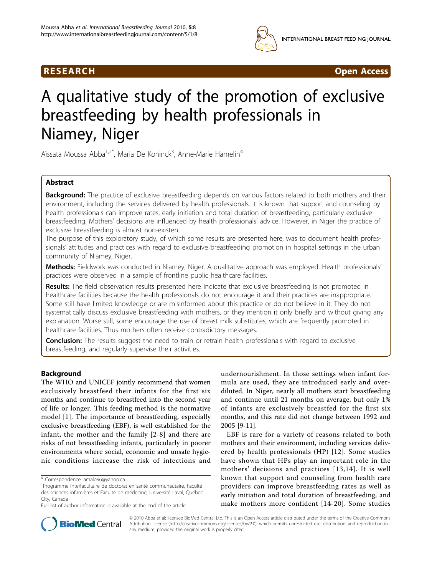

**RESEARCH Open Access** 

# A qualitative study of the promotion of exclusive breastfeeding by health professionals in Niamey, Niger

Aïssata Moussa Abba<sup>1,2\*</sup>, Maria De Koninck<sup>3</sup>, Anne-Marie Hamelin<sup>4</sup>

# Abstract

**Background:** The practice of exclusive breastfeeding depends on various factors related to both mothers and their environment, including the services delivered by health professionals. It is known that support and counseling by health professionals can improve rates, early initiation and total duration of breastfeeding, particularly exclusive breastfeeding. Mothers' decisions are influenced by health professionals' advice. However, in Niger the practice of exclusive breastfeeding is almost non-existent.

The purpose of this exploratory study, of which some results are presented here, was to document health professionals' attitudes and practices with regard to exclusive breastfeeding promotion in hospital settings in the urban community of Niamey, Niger.

Methods: Fieldwork was conducted in Niamey, Niger. A qualitative approach was employed. Health professionals' practices were observed in a sample of frontline public healthcare facilities.

Results: The field observation results presented here indicate that exclusive breastfeeding is not promoted in healthcare facilities because the health professionals do not encourage it and their practices are inappropriate. Some still have limited knowledge or are misinformed about this practice or do not believe in it. They do not systematically discuss exclusive breastfeeding with mothers, or they mention it only briefly and without giving any explanation. Worse still, some encourage the use of breast milk substitutes, which are frequently promoted in healthcare facilities. Thus mothers often receive contradictory messages.

**Conclusion:** The results suggest the need to train or retrain health professionals with regard to exclusive breastfeeding, and regularly supervise their activities.

# Background

The WHO and UNICEF jointly recommend that women exclusively breastfeed their infants for the first six months and continue to breastfeed into the second year of life or longer. This feeding method is the normative model [[1\]](#page-5-0). The importance of breastfeeding, especially exclusive breastfeeding (EBF), is well established for the infant, the mother and the family [[2](#page-5-0)-[8](#page-6-0)] and there are risks of not breastfeeding infants, particularly in poorer environments where social, economic and unsafe hygienic conditions increase the risk of infections and

undernourishment. In those settings when infant formula are used, they are introduced early and overdiluted. In Niger, nearly all mothers start breastfeeding and continue until 21 months on average, but only 1% of infants are exclusively breastfed for the first six months, and this rate did not change between 1992 and 2005 [[9-11\]](#page-6-0).

EBF is rare for a variety of reasons related to both mothers and their environment, including services delivered by health professionals (HP) [[12](#page-6-0)]. Some studies have shown that HPs play an important role in the mothers' decisions and practices [[13,14\]](#page-6-0). It is well known that support and counseling from health care providers can improve breastfeeding rates as well as early initiation and total duration of breastfeeding, and make mothers more confident [[14-20](#page-6-0)]. Some studies



© 2010 Abba et al; licensee BioMed Central Ltd. This is an Open Access article distributed under the terms of the Creative Commons Attribution License [\(http://creativecommons.org/licenses/by/2.0](http://creativecommons.org/licenses/by/2.0)), which permits unrestricted use, distribution, and reproduction in any medium, provided the original work is properly cited.

<sup>\*</sup> Correspondence: [amalo96@yahoo.ca](mailto:amalo96@yahoo.ca)

<sup>&</sup>lt;sup>1</sup>Programme interfacultaire de doctorat en santé communautaire, Faculté des sciences infirmières et Faculté de médecine, Université Laval, Québec City, Canada

Full list of author information is available at the end of the article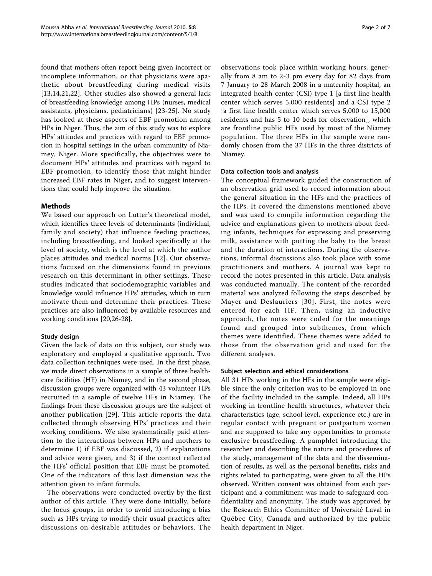found that mothers often report being given incorrect or incomplete information, or that physicians were apathetic about breastfeeding during medical visits [[13,14](#page-6-0),[21,22](#page-6-0)]. Other studies also showed a general lack of breastfeeding knowledge among HPs (nurses, medical assistants, physicians, pediatricians) [[23-25](#page-6-0)]. No study has looked at these aspects of EBF promotion among HPs in Niger. Thus, the aim of this study was to explore HPs' attitudes and practices with regard to EBF promotion in hospital settings in the urban community of Niamey, Niger. More specifically, the objectives were to document HPs' attitudes and practices with regard to EBF promotion, to identify those that might hinder increased EBF rates in Niger, and to suggest interventions that could help improve the situation.

# Methods

We based our approach on Lutter's theoretical model, which identifies three levels of determinants (individual, family and society) that influence feeding practices, including breastfeeding, and looked specifically at the level of society, which is the level at which the author places attitudes and medical norms [[12](#page-6-0)]. Our observations focused on the dimensions found in previous research on this determinant in other settings. These studies indicated that sociodemographic variables and knowledge would influence HPs' attitudes, which in turn motivate them and determine their practices. These practices are also influenced by available resources and working conditions [[20,26-28\]](#page-6-0).

# Study design

Given the lack of data on this subject, our study was exploratory and employed a qualitative approach. Two data collection techniques were used. In the first phase, we made direct observations in a sample of three healthcare facilities (HF) in Niamey, and in the second phase, discussion groups were organized with 43 volunteer HPs recruited in a sample of twelve HFs in Niamey. The findings from these discussion groups are the subject of another publication [[29\]](#page-6-0). This article reports the data collected through observing HPs' practices and their working conditions. We also systematically paid attention to the interactions between HPs and mothers to determine 1) if EBF was discussed, 2) if explanations and advice were given, and 3) if the context reflected the HFs' official position that EBF must be promoted. One of the indicators of this last dimension was the attention given to infant formula.

The observations were conducted overtly by the first author of this article. They were done initially, before the focus groups, in order to avoid introducing a bias such as HPs trying to modify their usual practices after discussions on desirable attitudes or behaviors. The observations took place within working hours, generally from 8 am to 2-3 pm every day for 82 days from 7 January to 28 March 2008 in a maternity hospital, an integrated health center (CSI) type 1 [a first line health center which serves 5,000 residents] and a CSI type 2 [a first line health center which serves 5,000 to 15,000 residents and has 5 to 10 beds for observation], which are frontline public HFs used by most of the Niamey population. The three HFs in the sample were randomly chosen from the 37 HFs in the three districts of Niamey.

# Data collection tools and analysis

The conceptual framework guided the construction of an observation grid used to record information about the general situation in the HFs and the practices of the HPs. It covered the dimensions mentioned above and was used to compile information regarding the advice and explanations given to mothers about feeding infants, techniques for expressing and preserving milk, assistance with putting the baby to the breast and the duration of interactions. During the observations, informal discussions also took place with some practitioners and mothers. A journal was kept to record the notes presented in this article. Data analysis was conducted manually. The content of the recorded material was analyzed following the steps described by Mayer and Deslauriers [[30](#page-6-0)]. First, the notes were entered for each HF. Then, using an inductive approach, the notes were coded for the meanings found and grouped into subthemes, from which themes were identified. These themes were added to those from the observation grid and used for the different analyses.

# Subject selection and ethical considerations

All 31 HPs working in the HFs in the sample were eligible since the only criterion was to be employed in one of the facility included in the sample. Indeed, all HPs working in frontline health structures, whatever their characteristics (age, school level, experience etc.) are in regular contact with pregnant or postpartum women and are supposed to take any opportunities to promote exclusive breastfeeding. A pamphlet introducing the researcher and describing the nature and procedures of the study, management of the data and the dissemination of results, as well as the personal benefits, risks and rights related to participating, were given to all the HPs observed. Written consent was obtained from each participant and a commitment was made to safeguard confidentiality and anonymity. The study was approved by the Research Ethics Committee of Université Laval in Québec City, Canada and authorized by the public health department in Niger.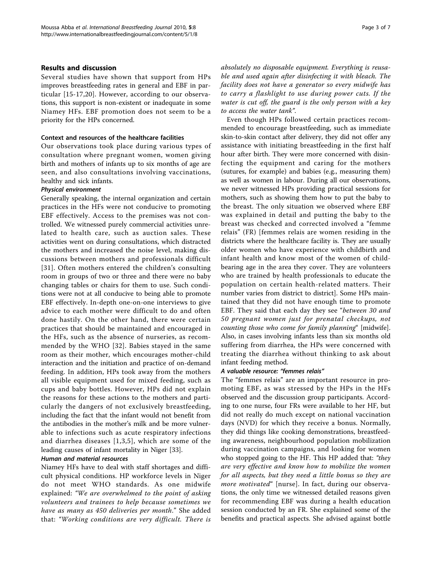#### Results and discussion

Several studies have shown that support from HPs improves breastfeeding rates in general and EBF in particular [[15-17,20](#page-6-0)]. However, according to our observations, this support is non-existent or inadequate in some Niamey HFs. EBF promotion does not seem to be a priority for the HPs concerned.

#### Context and resources of the healthcare facilities

Our observations took place during various types of consultation where pregnant women, women giving birth and mothers of infants up to six months of age are seen, and also consultations involving vaccinations, healthy and sick infants.

#### Physical environment

Generally speaking, the internal organization and certain practices in the HFs were not conducive to promoting EBF effectively. Access to the premises was not controlled. We witnessed purely commercial activities unrelated to health care, such as auction sales. These activities went on during consultations, which distracted the mothers and increased the noise level, making discussions between mothers and professionals difficult [[31](#page-6-0)]. Often mothers entered the children's consulting room in groups of two or three and there were no baby changing tables or chairs for them to use. Such conditions were not at all conducive to being able to promote EBF effectively. In-depth one-on-one interviews to give advice to each mother were difficult to do and often done hastily. On the other hand, there were certain practices that should be maintained and encouraged in the HFs, such as the absence of nurseries, as recommended by the WHO [\[32\]](#page-6-0). Babies stayed in the same room as their mother, which encourages mother-child interaction and the initiation and practice of on-demand feeding. In addition, HPs took away from the mothers all visible equipment used for mixed feeding, such as cups and baby bottles. However, HPs did not explain the reasons for these actions to the mothers and particularly the dangers of not exclusively breastfeeding, including the fact that the infant would not benefit from the antibodies in the mother's milk and be more vulnerable to infections such as acute respiratory infections and diarrhea diseases [[1,3,5\]](#page-5-0), which are some of the leading causes of infant mortality in Niger [[33\]](#page-6-0).

#### Human and material resources

Niamey HFs have to deal with staff shortages and difficult physical conditions. HP workforce levels in Niger do not meet WHO standards. As one midwife explained: "We are overwhelmed to the point of asking volunteers and trainees to help because sometimes we have as many as 450 deliveries per month." She added that: "Working conditions are very difficult. There is absolutely no disposable equipment. Everything is reusable and used again after disinfecting it with bleach. The facility does not have a generator so every midwife has to carry a flashlight to use during power cuts. If the water is cut off, the guard is the only person with a key to access the water tank".

Even though HPs followed certain practices recommended to encourage breastfeeding, such as immediate skin-to-skin contact after delivery, they did not offer any assistance with initiating breastfeeding in the first half hour after birth. They were more concerned with disinfecting the equipment and caring for the mothers (sutures, for example) and babies (e.g., measuring them) as well as women in labour. During all our observations, we never witnessed HPs providing practical sessions for mothers, such as showing them how to put the baby to the breast. The only situation we observed where EBF was explained in detail and putting the baby to the breast was checked and corrected involved a "femme relais" (FR) [femmes relais are women residing in the districts where the healthcare facility is. They are usually older women who have experience with childbirth and infant health and know most of the women of childbearing age in the area they cover. They are volunteers who are trained by health professionals to educate the population on certain health-related matters. Their number varies from district to district]. Some HPs maintained that they did not have enough time to promote EBF. They said that each day they see "between 30 and 50 pregnant women just for prenatal checkups, not counting those who come for family planning" [midwife]. Also, in cases involving infants less than six months old suffering from diarrhea, the HPs were concerned with treating the diarrhea without thinking to ask about infant feeding method.

#### A valuable resource: "femmes relais"

The "femmes relais" are an important resource in promoting EBF, as was stressed by the HPs in the HFs observed and the discussion group participants. According to one nurse, four FRs were available to her HF, but did not really do much except on national vaccination days (NVD) for which they receive a bonus. Normally, they did things like cooking demonstrations, breastfeeding awareness, neighbourhood population mobilization during vaccination campaigns, and looking for women who stopped going to the HF. This HP added that: "they are very effective and know how to mobilize the women for all aspects, but they need a little bonus so they are more motivated" [nurse]. In fact, during our observations, the only time we witnessed detailed reasons given for recommending EBF was during a health education session conducted by an FR. She explained some of the benefits and practical aspects. She advised against bottle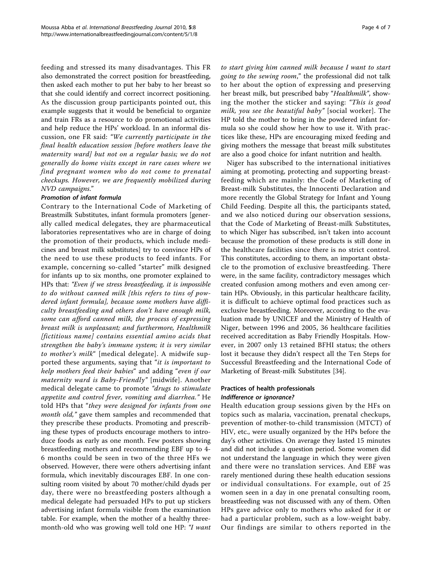feeding and stressed its many disadvantages. This FR also demonstrated the correct position for breastfeeding, then asked each mother to put her baby to her breast so that she could identify and correct incorrect positioning. As the discussion group participants pointed out, this example suggests that it would be beneficial to organize and train FRs as a resource to do promotional activities and help reduce the HPs' workload. In an informal discussion, one FR said: "We currently participate in the final health education session [before mothers leave the maternity ward] but not on a regular basis; we do not generally do home visits except in rare cases where we find pregnant women who do not come to prenatal checkups. However, we are frequently mobilized during NVD campaigns."

#### Promotion of infant formula

Contrary to the International Code of Marketing of Breastmilk Substitutes, infant formula promoters [generally called medical delegates, they are pharmaceutical laboratories representatives who are in charge of doing the promotion of their products, which include medicines and breast milk substitutes] try to convince HPs of the need to use these products to feed infants. For example, concerning so-called "starter" milk designed for infants up to six months, one promoter explained to HPs that: "Even if we stress breastfeeding, it is impossible to do without canned milk [this refers to tins of powdered infant formula], because some mothers have difficulty breastfeeding and others don't have enough milk, some can afford canned milk, the process of expressing breast milk is unpleasant; and furthermore, Healthmilk [fictitious name] contains essential amino acids that strengthen the baby's immune system; it is very similar to mother's milk" [medical delegate]. A midwife supported these arguments, saying that "it is important to help mothers feed their babies" and adding "even if our maternity ward is Baby-Friendly" [midwife]. Another medical delegate came to promote "drugs to stimulate appetite and control fever, vomiting and diarrhea." He told HPs that "they were designed for infants from one *month old*," gave them samples and recommended that they prescribe these products. Promoting and prescribing these types of products encourage mothers to introduce foods as early as one month. Few posters showing breastfeeding mothers and recommending EBF up to 4- 6 months could be seen in two of the three HFs we observed. However, there were others advertising infant formula, which inevitably discourages EBF. In one consulting room visited by about 70 mother/child dyads per day, there were no breastfeeding posters although a medical delegate had persuaded HPs to put up stickers advertising infant formula visible from the examination table. For example, when the mother of a healthy threemonth-old who was growing well told one HP: "I want to start giving him canned milk because I want to start going to the sewing room," the professional did not talk to her about the option of expressing and preserving her breast milk, but prescribed baby "Healthmilk", showing the mother the sticker and saying: "This is good milk, you see the beautiful baby" [social worker]. The HP told the mother to bring in the powdered infant formula so she could show her how to use it. With practices like these, HPs are encouraging mixed feeding and giving mothers the message that breast milk substitutes are also a good choice for infant nutrition and health.

Niger has subscribed to the international initiatives aiming at promoting, protecting and supporting breastfeeding which are mainly: the Code of Marketing of Breast-milk Substitutes, the Innocenti Declaration and more recently the Global Strategy for Infant and Young Child Feeding. Despite all this, the participants stated, and we also noticed during our observation sessions, that the Code of Marketing of Breast-milk Substitutes, to which Niger has subscribed, isn't taken into account because the promotion of these products is still done in the healthcare facilities since there is no strict control. This constitutes, according to them, an important obstacle to the promotion of exclusive breastfeeding. There were, in the same facility, contradictory messages which created confusion among mothers and even among certain HPs. Obviously, in this particular healthcare facility, it is difficult to achieve optimal food practices such as exclusive breastfeeding. Moreover, according to the evaluation made by UNICEF and the Ministry of Health of Niger, between 1996 and 2005, 36 healthcare facilities received accreditation as Baby Friendly Hospitals. However, in 2007 only 13 retained BFHI status; the others lost it because they didn't respect all the Ten Steps for Successful Breastfeeding and the International Code of Marketing of Breast-milk Substitutes [\[34\]](#page-6-0).

# Practices of health professionals Indifference or ignorance?

Health education group sessions given by the HFs on topics such as malaria, vaccination, prenatal checkups, prevention of mother-to-child transmission (MTCT) of HIV, etc., were usually organized by the HPs before the day's other activities. On average they lasted 15 minutes and did not include a question period. Some women did not understand the language in which they were given and there were no translation services. And EBF was rarely mentioned during these health education sessions or individual consultations. For example, out of 25 women seen in a day in one prenatal consulting room, breastfeeding was not discussed with any of them. Often HPs gave advice only to mothers who asked for it or had a particular problem, such as a low-weight baby. Our findings are similar to others reported in the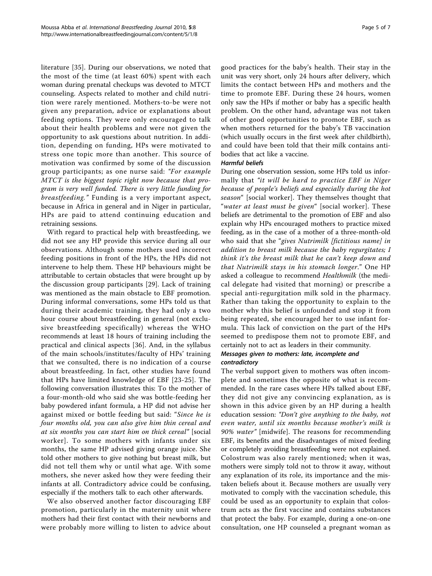literature [\[35](#page-6-0)]. During our observations, we noted that the most of the time (at least 60%) spent with each woman during prenatal checkups was devoted to MTCT counseling. Aspects related to mother and child nutrition were rarely mentioned. Mothers-to-be were not given any preparation, advice or explanations about feeding options. They were only encouraged to talk about their health problems and were not given the opportunity to ask questions about nutrition. In addition, depending on funding, HPs were motivated to stress one topic more than another. This source of motivation was confirmed by some of the discussion group participants; as one nurse said: "For example MTCT is the biggest topic right now because that program is very well funded. There is very little funding for breastfeeding." Funding is a very important aspect, because in Africa in general and in Niger in particular, HPs are paid to attend continuing education and retraining sessions.

With regard to practical help with breastfeeding, we did not see any HP provide this service during all our observations. Although some mothers used incorrect feeding positions in front of the HPs, the HPs did not intervene to help them. These HP behaviours might be attributable to certain obstacles that were brought up by the discussion group participants [[29](#page-6-0)]. Lack of training was mentioned as the main obstacle to EBF promotion. During informal conversations, some HPs told us that during their academic training, they had only a two hour course about breastfeeding in general (not exclusive breastfeeding specifically) whereas the WHO recommends at least 18 hours of training including the practical and clinical aspects [[36](#page-6-0)]. And, in the syllabus of the main schools/institutes/faculty of HPs' training that we consulted, there is no indication of a course about breastfeeding. In fact, other studies have found that HPs have limited knowledge of EBF [[23](#page-6-0)-[25\]](#page-6-0). The following conversation illustrates this: To the mother of a four-month-old who said she was bottle-feeding her baby powdered infant formula, a HP did not advise her against mixed or bottle feeding but said: "Since he is four months old, you can also give him thin cereal and at six months you can start him on thick cereal" [social worker]. To some mothers with infants under six months, the same HP advised giving orange juice. She told other mothers to give nothing but breast milk, but did not tell them why or until what age. With some mothers, she never asked how they were feeding their infants at all. Contradictory advice could be confusing, especially if the mothers talk to each other afterwards.

We also observed another factor discouraging EBF promotion, particularly in the maternity unit where mothers had their first contact with their newborns and were probably more willing to listen to advice about good practices for the baby's health. Their stay in the unit was very short, only 24 hours after delivery, which limits the contact between HPs and mothers and the time to promote EBF. During these 24 hours, women only saw the HPs if mother or baby has a specific health problem. On the other hand, advantage was not taken of other good opportunities to promote EBF, such as when mothers returned for the baby's TB vaccination (which usually occurs in the first week after childbirth), and could have been told that their milk contains antibodies that act like a vaccine.

### Harmful beliefs

During one observation session, some HPs told us informally that "it will be hard to practice EBF in Niger because of people's beliefs and especially during the hot season" [social worker]. They themselves thought that "water at least must be given" [social worker]. These beliefs are detrimental to the promotion of EBF and also explain why HPs encouraged mothers to practice mixed feeding, as in the case of a mother of a three-month-old who said that she "gives Nutrimilk [fictitious name] in addition to breast milk because the baby regurgitates; I think it's the breast milk that he can't keep down and that Nutrimilk stays in his stomach longer." One HP asked a colleague to recommend *Healthmilk* (the medical delegate had visited that morning) or prescribe a special anti-regurgitation milk sold in the pharmacy. Rather than taking the opportunity to explain to the mother why this belief is unfounded and stop it from being repeated, she encouraged her to use infant formula. This lack of conviction on the part of the HPs seemed to predispose them not to promote EBF, and certainly not to act as leaders in their community.

# Messages given to mothers: late, incomplete and contradictory

The verbal support given to mothers was often incomplete and sometimes the opposite of what is recommended. In the rare cases where HPs talked about EBF, they did not give any convincing explanation, as is shown in this advice given by an HP during a health education session: "Don't give anything to the baby, not even water, until six months because mother's milk is 90% water" [midwife]. The reasons for recommending EBF, its benefits and the disadvantages of mixed feeding or completely avoiding breastfeeding were not explained. Colostrum was also rarely mentioned; when it was, mothers were simply told not to throw it away, without any explanation of its role, its importance and the mistaken beliefs about it. Because mothers are usually very motivated to comply with the vaccination schedule, this could be used as an opportunity to explain that colostrum acts as the first vaccine and contains substances that protect the baby. For example, during a one-on-one consultation, one HP counseled a pregnant woman as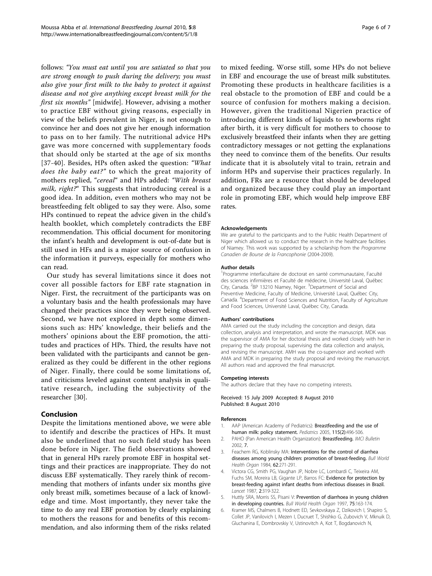<span id="page-5-0"></span>follows: "You must eat until you are satiated so that you are strong enough to push during the delivery; you must also give your first milk to the baby to protect it against disease and not give anything except breast milk for the first six months" [midwife]. However, advising a mother to practice EBF without giving reasons, especially in view of the beliefs prevalent in Niger, is not enough to convince her and does not give her enough information to pass on to her family. The nutritional advice HPs gave was more concerned with supplementary foods that should only be started at the age of six months [[37](#page-6-0)-[40](#page-6-0)]. Besides, HPs often asked the question: "What does the baby eat?" to which the great majority of mothers replied, "cereal" and HPs added: "With breast milk, right?" This suggests that introducing cereal is a good idea. In addition, even mothers who may not be breastfeeding felt obliged to say they were. Also, some HPs continued to repeat the advice given in the child's health booklet, which completely contradicts the EBF recommendation. This official document for monitoring the infant's health and development is out-of-date but is still used in HFs and is a major source of confusion in the information it purveys, especially for mothers who can read.

Our study has several limitations since it does not cover all possible factors for EBF rate stagnation in Niger. First, the recruitment of the participants was on a voluntary basis and the health professionals may have changed their practices since they were being observed. Second, we have not explored in depth some dimensions such as: HPs' knowledge, their beliefs and the mothers' opinions about the EBF promotion, the attitudes and practices of HPs. Third, the results have not been validated with the participants and cannot be generalized as they could be different in the other regions of Niger. Finally, there could be some limitations of, and criticisms leveled against content analysis in qualitative research, including the subjectivity of the researcher [\[30\]](#page-6-0).

#### Conclusion

Despite the limitations mentioned above, we were able to identify and describe the practices of HPs. It must also be underlined that no such field study has been done before in Niger. The field observations showed that in general HPs rarely promote EBF in hospital settings and their practices are inappropriate. They do not discuss EBF systematically. They rarely think of recommending that mothers of infants under six months give only breast milk, sometimes because of a lack of knowledge and time. Most importantly, they never take the time to do any real EBF promotion by clearly explaining to mothers the reasons for and benefits of this recommendation, and also informing them of the risks related

to mixed feeding. Worse still, some HPs do not believe in EBF and encourage the use of breast milk substitutes. Promoting these products in healthcare facilities is a real obstacle to the promotion of EBF and could be a source of confusion for mothers making a decision. However, given the traditional Nigerien practice of introducing different kinds of liquids to newborns right after birth, it is very difficult for mothers to choose to exclusively breastfeed their infants when they are getting contradictory messages or not getting the explanations they need to convince them of the benefits. Our results indicate that it is absolutely vital to train, retrain and inform HPs and supervise their practices regularly. In addition, FRs are a resource that should be developed and organized because they could play an important role in promoting EBF, which would help improve EBF rates.

#### Acknowledgements

We are grateful to the participants and to the Public Health Department of Niger which allowed us to conduct the research in the healthcare facilities of Niamey. This work was supported by a scholarship from the Programme Canadien de Bourse de la Francophonie (2004-2009).

#### Author details

<sup>1</sup>Programme interfacultaire de doctorat en santé communautaire, Faculté des sciences infirmières et Faculté de médecine, Université Laval, Québec City, Canada. <sup>2</sup>BP 13210 Niamey, Niger. <sup>3</sup>Department of Social and Preventive Medicine, Faculty of Medicine, Université Laval, Québec City, Canada. <sup>4</sup> Department of Food Sciences and Nutrition, Faculty of Agriculture and Food Sciences, Université Laval, Québec City, Canada.

#### Authors' contributions

AMA carried out the study including the conception and design, data collection, analysis and interpretation, and wrote the manuscript. MDK was the supervisor of AMA for her doctoral thesis and worked closely with her in preparing the study proposal, supervising the data collection and analysis, and revising the manuscript. AMH was the co-supervisor and worked with AMA and MDK in preparing the study proposal and revising the manuscript. All authors read and approved the final manuscript.

#### Competing interests

The authors declare that they have no competing interests.

Received: 15 July 2009 Accepted: 8 August 2010 Published: 8 August 2010

#### References

- AAP (American Academy of Pediatrics): [Breastfeeding and the use of](http://www.ncbi.nlm.nih.gov/pubmed/15687461?dopt=Abstract) [human milk: policy statement.](http://www.ncbi.nlm.nih.gov/pubmed/15687461?dopt=Abstract) Pediatrics 2005, 115(2):496-506.
- 2. PAHO (Pan American Health Organization): Breastfeeding. IMCI Bulletin 2002, 7.
- 3. Feachem RG, Koblinsky MA: [Interventions for the control of diarrhea](http://www.ncbi.nlm.nih.gov/pubmed/6610496?dopt=Abstract) [diseases among young children: promotion of breast-feeding.](http://www.ncbi.nlm.nih.gov/pubmed/6610496?dopt=Abstract) Bull World Health Organ 1984, 62:271-291.
- 4. Victora CG, Smith PG, Vaughan JP, Nobre LC, Lombardi C, Teixeira AM, Fuchs SM, Moreira LB, Gigante LP, Barros FC: [Evidence for protection by](http://www.ncbi.nlm.nih.gov/pubmed/2886775?dopt=Abstract) [breast-feeding against infant deaths from infectious diseases in Brazil.](http://www.ncbi.nlm.nih.gov/pubmed/2886775?dopt=Abstract) Lancet 1987, 2:319-322.
- 5. Huttly SRA, Morris SS, Pisani V: [Prevention of diarrhoea in young children](http://www.ncbi.nlm.nih.gov/pubmed/9185369?dopt=Abstract) [in developing countries.](http://www.ncbi.nlm.nih.gov/pubmed/9185369?dopt=Abstract) Bull World Health Organ 1997, 75:163-174.
- 6. Kramer MS, Chalmers B, Hodnett ED, Sevkovskaya Z, Dzikovich I, Shapiro S, Collet JP, Vanilovich I, Mezen I, Ducruet T, Shishko G, Zubovich V, Mknuik D, Gluchanina E, Dombrovskiy V, Ustinovitch A, Kot T, Bogdanovich N,